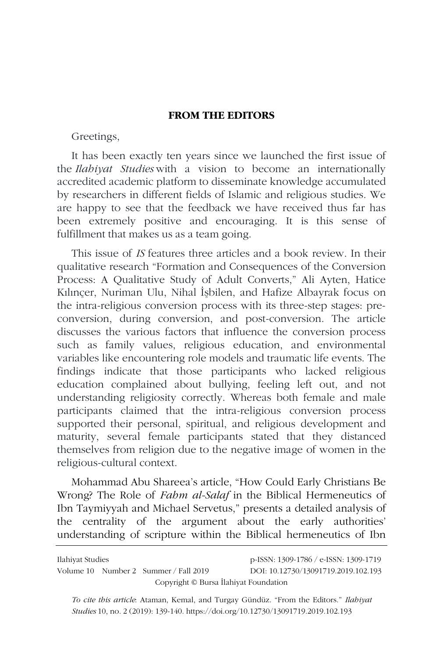## **FROM THE EDITORS**

Greetings,

It has been exactly ten years since we launched the first issue of the *Ilahiyat Studies* with a vision to become an internationally accredited academic platform to disseminate knowledge accumulated by researchers in different fields of Islamic and religious studies. We are happy to see that the feedback we have received thus far has been extremely positive and encouraging. It is this sense of fulfillment that makes us as a team going.

This issue of *IS* features three articles and a book review. In their qualitative research "Formation and Consequences of the Conversion Process: A Qualitative Study of Adult Converts," Ali Ayten, Hatice Kılınçer, Nuriman Ulu, Nihal İşbilen, and Hafize Albayrak focus on the intra-religious conversion process with its three-step stages: preconversion, during conversion, and post-conversion. The article discusses the various factors that influence the conversion process such as family values, religious education, and environmental variables like encountering role models and traumatic life events. The findings indicate that those participants who lacked religious education complained about bullying, feeling left out, and not understanding religiosity correctly. Whereas both female and male participants claimed that the intra-religious conversion process supported their personal, spiritual, and religious development and maturity, several female participants stated that they distanced themselves from religion due to the negative image of women in the religious-cultural context.

Mohammad Abu Shareea's article, "How Could Early Christians Be Wrong? The Role of *Fahm al-Salaf* in the Biblical Hermeneutics of Ibn Taymiyyah and Michael Servetus," presents a detailed analysis of the centrality of the argument about the early authorities' understanding of scripture within the Biblical hermeneutics of Ibn

| Ilahiyat Studies                      |  |                                       | p-ISSN: 1309-1786 / e-ISSN: 1309-1719 |
|---------------------------------------|--|---------------------------------------|---------------------------------------|
|                                       |  | Volume 10 Number 2 Summer / Fall 2019 | DOI: 10.12730/13091719.2019.102.193   |
| Copyright © Bursa İlahiyat Foundation |  |                                       |                                       |

*To cite this article*: Ataman, Kemal, and Turgay Gündüz. "From the Editors." *Ilahiyat Studies* 10, no. 2 (2019): 139-140. https://doi.org/10.12730/13091719.2019.102.193